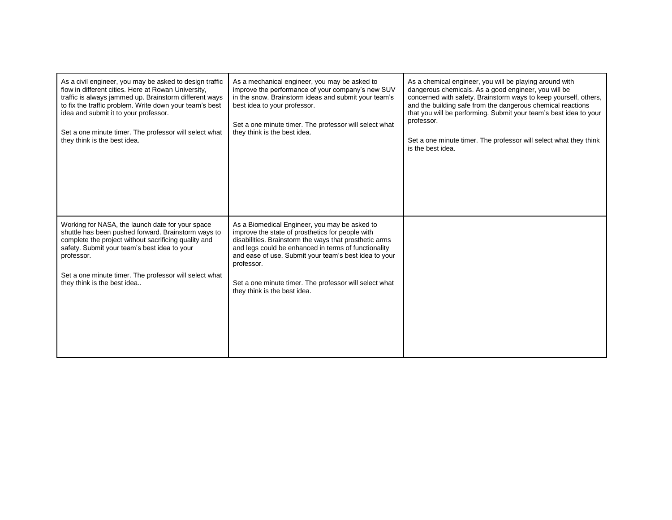| As a civil engineer, you may be asked to design traffic<br>flow in different cities. Here at Rowan University,<br>traffic is always jammed up. Brainstorm different ways<br>to fix the traffic problem. Write down your team's best<br>idea and submit it to your professor.<br>Set a one minute timer. The professor will select what<br>they think is the best idea. | As a mechanical engineer, you may be asked to<br>improve the performance of your company's new SUV<br>in the snow. Brainstorm ideas and submit your team's<br>best idea to your professor.<br>Set a one minute timer. The professor will select what<br>they think is the best idea.                                                                                                 | As a chemical engineer, you will be playing around with<br>dangerous chemicals. As a good engineer, you will be<br>concerned with safety. Brainstorm ways to keep yourself, others,<br>and the building safe from the dangerous chemical reactions<br>that you will be performing. Submit your team's best idea to your<br>professor.<br>Set a one minute timer. The professor will select what they think<br>is the best idea. |
|------------------------------------------------------------------------------------------------------------------------------------------------------------------------------------------------------------------------------------------------------------------------------------------------------------------------------------------------------------------------|--------------------------------------------------------------------------------------------------------------------------------------------------------------------------------------------------------------------------------------------------------------------------------------------------------------------------------------------------------------------------------------|---------------------------------------------------------------------------------------------------------------------------------------------------------------------------------------------------------------------------------------------------------------------------------------------------------------------------------------------------------------------------------------------------------------------------------|
| Working for NASA, the launch date for your space<br>shuttle has been pushed forward. Brainstorm ways to<br>complete the project without sacrificing quality and<br>safety. Submit your team's best idea to your<br>professor.<br>Set a one minute timer. The professor will select what<br>they think is the best idea                                                 | As a Biomedical Engineer, you may be asked to<br>improve the state of prosthetics for people with<br>disabilities. Brainstorm the ways that prosthetic arms<br>and legs could be enhanced in terms of functionality<br>and ease of use. Submit your team's best idea to your<br>professor.<br>Set a one minute timer. The professor will select what<br>they think is the best idea. |                                                                                                                                                                                                                                                                                                                                                                                                                                 |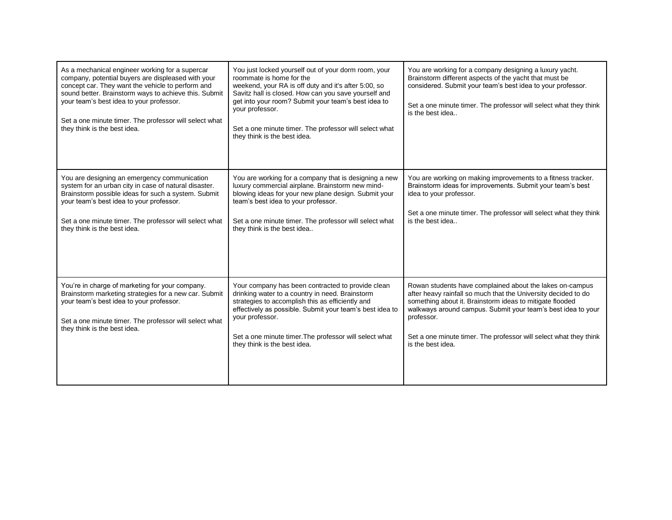| As a mechanical engineer working for a supercar<br>company, potential buyers are displeased with your<br>concept car. They want the vehicle to perform and<br>sound better. Brainstorm ways to achieve this. Submit<br>your team's best idea to your professor.<br>Set a one minute timer. The professor will select what<br>they think is the best idea. | You just locked yourself out of your dorm room, your<br>roommate is home for the<br>weekend, your RA is off duty and it's after 5:00, so<br>Savitz hall is closed. How can you save yourself and<br>get into your room? Submit your team's best idea to<br>your professor.<br>Set a one minute timer. The professor will select what<br>they think is the best idea. | You are working for a company designing a luxury yacht.<br>Brainstorm different aspects of the yacht that must be<br>considered. Submit your team's best idea to your professor.<br>Set a one minute timer. The professor will select what they think<br>is the best idea                                                                                      |
|-----------------------------------------------------------------------------------------------------------------------------------------------------------------------------------------------------------------------------------------------------------------------------------------------------------------------------------------------------------|----------------------------------------------------------------------------------------------------------------------------------------------------------------------------------------------------------------------------------------------------------------------------------------------------------------------------------------------------------------------|----------------------------------------------------------------------------------------------------------------------------------------------------------------------------------------------------------------------------------------------------------------------------------------------------------------------------------------------------------------|
| You are designing an emergency communication<br>system for an urban city in case of natural disaster.<br>Brainstorm possible ideas for such a system. Submit<br>your team's best idea to your professor.<br>Set a one minute timer. The professor will select what<br>they think is the best idea.                                                        | You are working for a company that is designing a new<br>luxury commercial airplane. Brainstorm new mind-<br>blowing ideas for your new plane design. Submit your<br>team's best idea to your professor.<br>Set a one minute timer. The professor will select what<br>they think is the best idea                                                                    | You are working on making improvements to a fitness tracker.<br>Brainstorm ideas for improvements. Submit your team's best<br>idea to your professor.<br>Set a one minute timer. The professor will select what they think<br>is the best idea                                                                                                                 |
| You're in charge of marketing for your company.<br>Brainstorm marketing strategies for a new car. Submit<br>your team's best idea to your professor.<br>Set a one minute timer. The professor will select what<br>they think is the best idea.                                                                                                            | Your company has been contracted to provide clean<br>drinking water to a country in need. Brainstorm<br>strategies to accomplish this as efficiently and<br>effectively as possible. Submit your team's best idea to<br>your professor.<br>Set a one minute timer. The professor will select what<br>they think is the best idea.                                    | Rowan students have complained about the lakes on-campus<br>after heavy rainfall so much that the University decided to do<br>something about it. Brainstorm ideas to mitigate flooded<br>walkways around campus. Submit your team's best idea to your<br>professor.<br>Set a one minute timer. The professor will select what they think<br>is the best idea. |